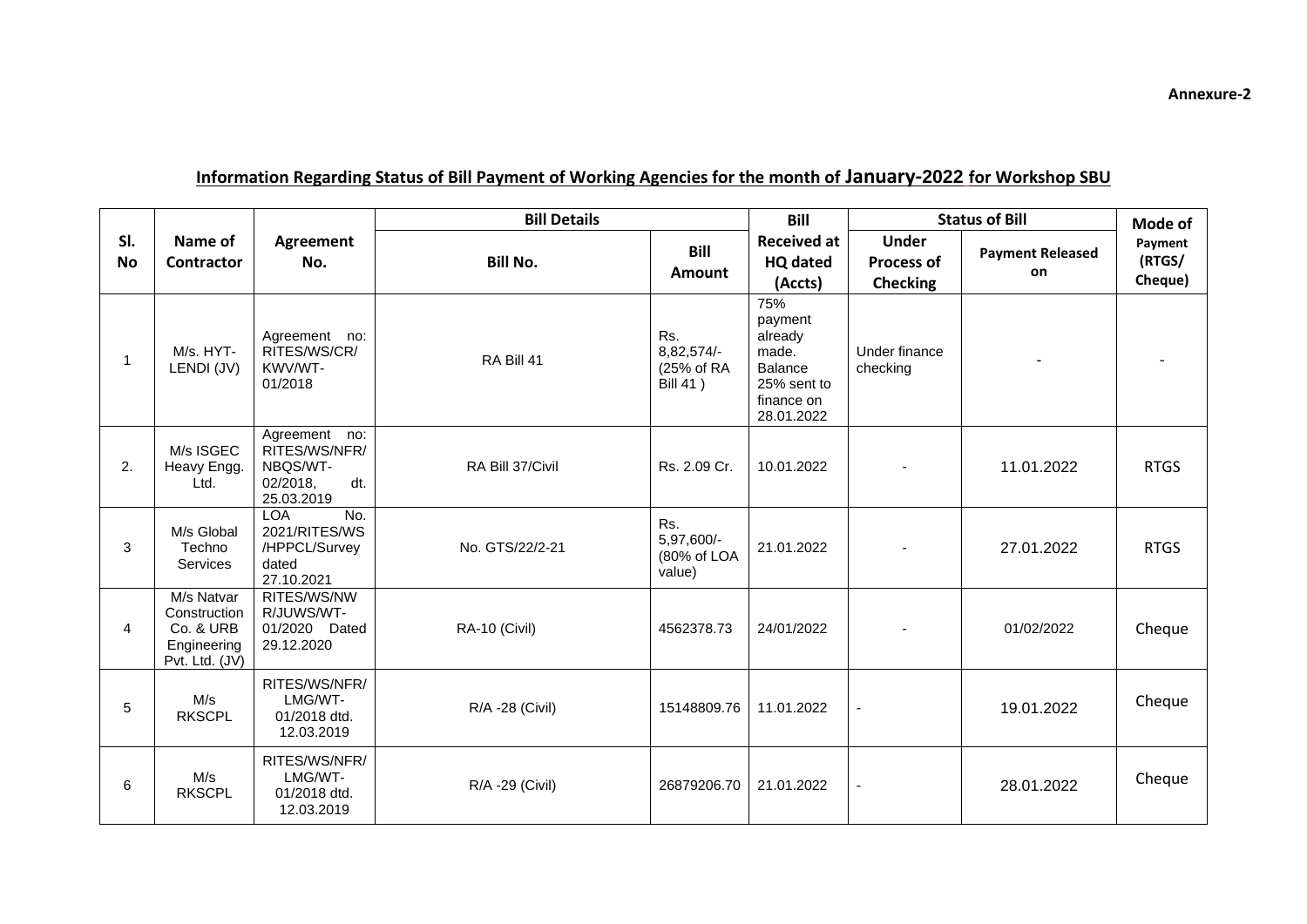|                  | Name of<br><b>Contractor</b>                                             | Agreement<br>No.                                                            | <b>Bill Details</b> |                                                    | <b>Bill</b>                                                                                     | <b>Status of Bill</b>                                |                               | Mode of                      |
|------------------|--------------------------------------------------------------------------|-----------------------------------------------------------------------------|---------------------|----------------------------------------------------|-------------------------------------------------------------------------------------------------|------------------------------------------------------|-------------------------------|------------------------------|
| SI.<br><b>No</b> |                                                                          |                                                                             | <b>Bill No.</b>     | <b>Bill</b><br><b>Amount</b>                       | <b>Received at</b><br><b>HQ dated</b><br>(Accts)                                                | <b>Under</b><br><b>Process of</b><br><b>Checking</b> | <b>Payment Released</b><br>on | Payment<br>(RTGS/<br>Cheque) |
| 1                | M/s. HYT-<br>LENDI (JV)                                                  | Agreement no:<br>RITES/WS/CR/<br>KWV/WT-<br>01/2018                         | RA Bill 41          | Rs.<br>8,82,574/-<br>(25% of RA<br><b>Bill 41)</b> | 75%<br>payment<br>already<br>made.<br><b>Balance</b><br>25% sent to<br>finance on<br>28.01.2022 | Under finance<br>checking                            |                               |                              |
| 2.               | M/s ISGEC<br>Heavy Engg.<br>Ltd.                                         | Agreement no:<br>RITES/WS/NFR/<br>NBQS/WT-<br>02/2018,<br>dt.<br>25.03.2019 | RA Bill 37/Civil    | Rs. 2.09 Cr.                                       | 10.01.2022                                                                                      |                                                      | 11.01.2022                    | <b>RTGS</b>                  |
| 3                | M/s Global<br>Techno<br>Services                                         | <b>LOA</b><br>No.<br>2021/RITES/WS<br>/HPPCL/Survey<br>dated<br>27.10.2021  | No. GTS/22/2-21     | Rs.<br>5,97,600/-<br>(80% of LOA<br>value)         | 21.01.2022                                                                                      |                                                      | 27.01.2022                    | <b>RTGS</b>                  |
| 4                | M/s Natvar<br>Construction<br>Co. & URB<br>Engineering<br>Pvt. Ltd. (JV) | RITES/WS/NW<br>R/JUWS/WT-<br>01/2020 Dated<br>29.12.2020                    | RA-10 (Civil)       | 4562378.73                                         | 24/01/2022                                                                                      |                                                      | 01/02/2022                    | Cheque                       |
| 5                | M/s<br><b>RKSCPL</b>                                                     | RITES/WS/NFR/<br>LMG/WT-<br>01/2018 dtd.<br>12.03.2019                      | R/A -28 (Civil)     | 15148809.76                                        | 11.01.2022                                                                                      | $\overline{a}$                                       | 19.01.2022                    | Cheque                       |
| 6                | M/s<br><b>RKSCPL</b>                                                     | RITES/WS/NFR/<br>LMG/WT-<br>01/2018 dtd.<br>12.03.2019                      | R/A -29 (Civil)     | 26879206.70                                        | 21.01.2022                                                                                      | $\overline{\phantom{a}}$                             | 28.01.2022                    | Cheque                       |

## **Information Regarding Status of Bill Payment of Working Agencies for the month of January-2022 for Workshop SBU**